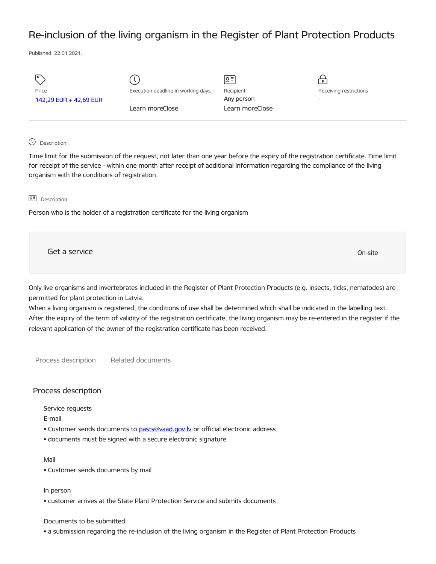# Re-inclusion of the living organism in the Register of Plant Protection Products

Published: 22.01.2021.

| I۰                     |                                    | lo≡l            | $\bullet$                |
|------------------------|------------------------------------|-----------------|--------------------------|
| Price                  | Execution deadline in working days | Recipient       | Receiving restrictions   |
| 142,29 EUR + 42,69 EUR | $\overline{\phantom{a}}$           | Any person      | $\overline{\phantom{0}}$ |
|                        | Learn moreClose                    | Learn moreClose |                          |
|                        |                                    |                 |                          |

## Description:

Time limit for the submission of the request, not later than one year before the expiry of the registration certificate. Time limit for receipt of the service - within one month after receipt of additional information regarding the compliance of the living organism with the conditions of registration.

#### **오** Description:

Person who is the holder of a registration certificate for the living organism

Get a service On-site

Only live organisms and invertebrates included in the Register of Plant Protection Products (e.g. insects, ticks, nematodes) are permitted for plant protection in Latvia.

When a living organism is registered, the conditions of use shall be determined which shall be indicated in the labelling text. After the expiry of the term of validity of the registration certificate, the living organism may be re-entered in the register if the relevant application of the owner of the registration certificate has been received.

Process description Related documents

## Process description

Service requests

E-mail

- Customer sends documents to pasts@vaad.gov.ly or official electronic address
- documents must be signed with a secure electronic signature

#### Mail

• Customer sends documents by mail

In person

• customer arrives at the State Plant Protection Service and submits documents

#### Documents to be submitted

• a submission regarding the re-inclusion of the living organism in the Register of Plant Protection Products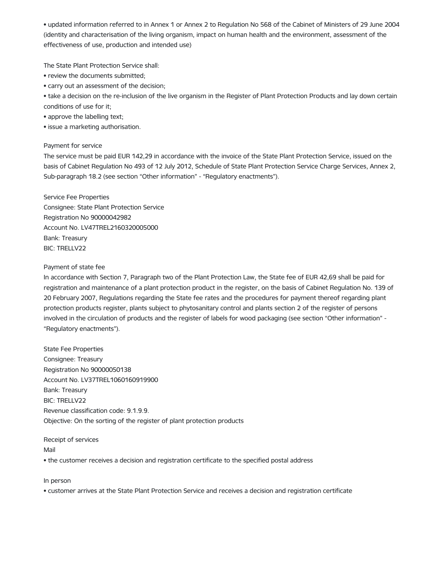• updated information referred to in Annex 1 or Annex 2 to Regulation No 568 of the Cabinet of Ministers of 29 June 2004 (identity and characterisation of the living organism, impact on human health and the environment, assessment of the effectiveness of use, production and intended use)

The State Plant Protection Service shall:

- review the documents submitted;
- carry out an assessment of the decision;

• take a decision on the re-inclusion of the live organism in the Register of Plant Protection Products and lay down certain conditions of use for it;

- approve the labelling text;
- issue a marketing authorisation.

# Payment for service

The service must be paid EUR 142,29 in accordance with the invoice of the State Plant Protection Service, issued on the basis of Cabinet Regulation No 493 of 12 July 2012, Schedule of State Plant Protection Service Charge Services, Annex 2, Sub-paragraph 18.2 (see section "Other information" - "Regulatory enactments").

Service Fee Properties Consignee: State Plant Protection Service Registration No 90000042982 Account No. LV47TREL2160320005000 Bank: Treasury BIC: TRELLV22

# Payment of state fee

In accordance with Section 7, Paragraph two of the Plant Protection Law, the State fee of EUR 42,69 shall be paid for registration and maintenance of a plant protection product in the register, on the basis of Cabinet Regulation No. 139 of 20 February 2007, Regulations regarding the State fee rates and the procedures for payment thereof regarding plant protection products register, plants subject to phytosanitary control and plants section 2 of the register of persons involved in the circulation of products and the register of labels for wood packaging (see section "Other information" - "Regulatory enactments").

State Fee Properties Consignee: Treasury Registration No 90000050138 Account No. LV37TREL1060160919900 Bank: Treasury BIC: TRELLV22 Revenue classification code: 9.1.9.9. Objective: On the sorting of the register of plant protection products

Receipt of services Mail • the customer receives a decision and registration certificate to the specified postal address

In person

• customer arrives at the State Plant Protection Service and receives a decision and registration certificate